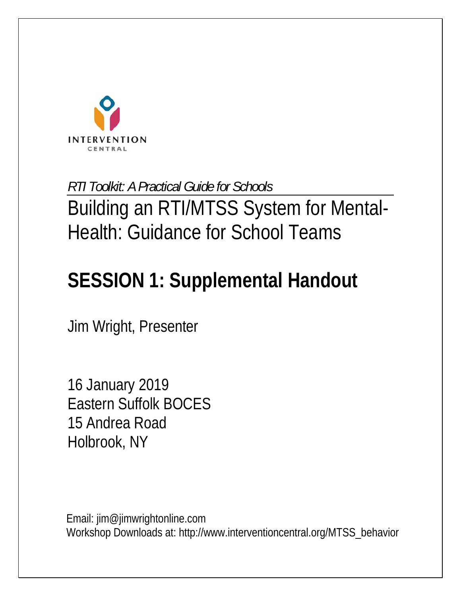

*RTI Toolkit: A Practical Guide for Schools* 

Building an RTI/MTSS System for Mental-Health: Guidance for School Teams

# **SESSION 1: Supplemental Handout**

Jim Wright, Presenter

16 January 2019 Eastern Suffolk BOCES 15 Andrea Road Holbrook, NY

Email: jim@jimwrightonline.com Workshop Downloads at: http://www.interventioncentral.org/MTSS\_behavior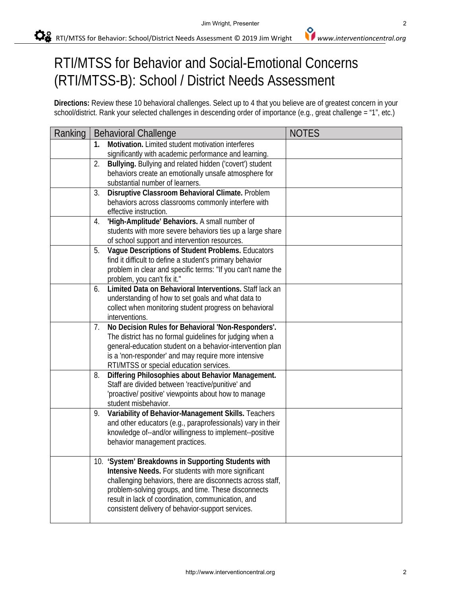## RTI/MTSS for Behavior and Social-Emotional Concerns (RTI/MTSS-B): School / District Needs Assessment

**Directions:** Review these 10 behavioral challenges. Select up to 4 that you believe are of greatest concern in your school/district. Rank your selected challenges in descending order of importance (e.g., great challenge = "1", etc.)

| Ranking | <b>Behavioral Challenge</b>                                                                              | <b>NOTES</b> |
|---------|----------------------------------------------------------------------------------------------------------|--------------|
|         | Motivation. Limited student motivation interferes<br>$\mathbf{1}$ .                                      |              |
|         | significantly with academic performance and learning.                                                    |              |
|         | Bullying. Bullying and related hidden ('covert') student<br>2.                                           |              |
|         | behaviors create an emotionally unsafe atmosphere for                                                    |              |
|         | substantial number of learners.                                                                          |              |
|         | Disruptive Classroom Behavioral Climate. Problem<br>3.                                                   |              |
|         | behaviors across classrooms commonly interfere with                                                      |              |
|         | effective instruction.                                                                                   |              |
|         | 'High-Amplitude' Behaviors. A small number of<br>4.                                                      |              |
|         | students with more severe behaviors ties up a large share                                                |              |
|         | of school support and intervention resources.<br>Vague Descriptions of Student Problems. Educators<br>5. |              |
|         | find it difficult to define a student's primary behavior                                                 |              |
|         | problem in clear and specific terms: "If you can't name the                                              |              |
|         | problem, you can't fix it."                                                                              |              |
|         | Limited Data on Behavioral Interventions. Staff lack an<br>6.                                            |              |
|         | understanding of how to set goals and what data to                                                       |              |
|         | collect when monitoring student progress on behavioral                                                   |              |
|         | interventions.                                                                                           |              |
|         | No Decision Rules for Behavioral 'Non-Responders'.<br>7.                                                 |              |
|         | The district has no formal guidelines for judging when a                                                 |              |
|         | general-education student on a behavior-intervention plan                                                |              |
|         | is a 'non-responder' and may require more intensive                                                      |              |
|         | RTI/MTSS or special education services.                                                                  |              |
|         | Differing Philosophies about Behavior Management.<br>8.                                                  |              |
|         | Staff are divided between 'reactive/punitive' and                                                        |              |
|         | 'proactive/ positive' viewpoints about how to manage                                                     |              |
|         | student misbehavior.                                                                                     |              |
|         | Variability of Behavior-Management Skills. Teachers<br>9.                                                |              |
|         | and other educators (e.g., paraprofessionals) vary in their                                              |              |
|         | knowledge of--and/or willingness to implement--positive                                                  |              |
|         | behavior management practices.                                                                           |              |
|         | 10. 'System' Breakdowns in Supporting Students with                                                      |              |
|         | Intensive Needs. For students with more significant                                                      |              |
|         | challenging behaviors, there are disconnects across staff,                                               |              |
|         | problem-solving groups, and time. These disconnects                                                      |              |
|         | result in lack of coordination, communication, and                                                       |              |
|         | consistent delivery of behavior-support services.                                                        |              |
|         |                                                                                                          |              |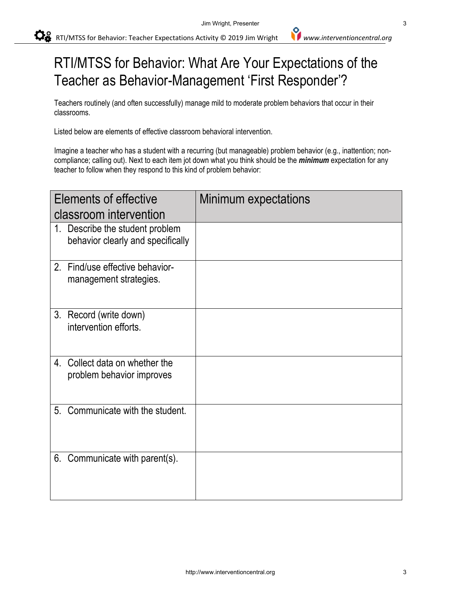RTI/MTSS for Behavior: Teacher Expectations Activity © 2019 Jim Wright *www.interventioncentral.org*

### RTI/MTSS for Behavior: What Are Your Expectations of the Teacher as Behavior-Management 'First Responder'?

Teachers routinely (and often successfully) manage mild to moderate problem behaviors that occur in their classrooms.

Listed below are elements of effective classroom behavioral intervention.

Imagine a teacher who has a student with a recurring (but manageable) problem behavior (e.g., inattention; noncompliance; calling out). Next to each item jot down what you think should be the *minimum* expectation for any teacher to follow when they respond to this kind of problem behavior:

| Elements of effective                                                    | Minimum expectations |
|--------------------------------------------------------------------------|----------------------|
| classroom intervention                                                   |                      |
| 1. Describe the student problem<br>behavior clearly and specifically     |                      |
| 2 <sub>1</sub><br>Find/use effective behavior-<br>management strategies. |                      |
| 3. Record (write down)<br>intervention efforts.                          |                      |
| Collect data on whether the<br>4.<br>problem behavior improves           |                      |
| Communicate with the student.<br>5 <sub>1</sub>                          |                      |
| 6. Communicate with parent(s).                                           |                      |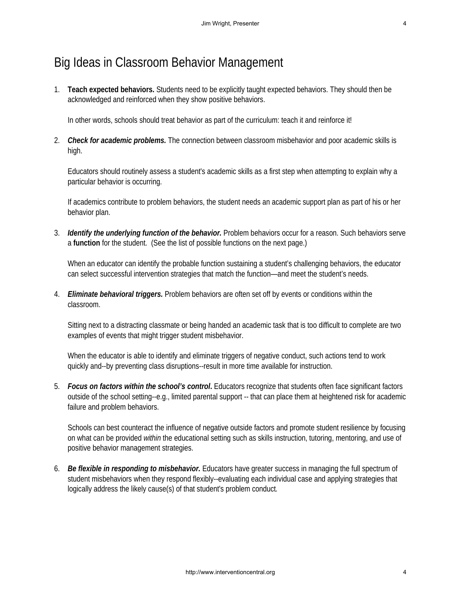#### Big Ideas in Classroom Behavior Management

1. **Teach expected behaviors.** Students need to be explicitly taught expected behaviors. They should then be acknowledged and reinforced when they show positive behaviors.

In other words, schools should treat behavior as part of the curriculum: teach it and reinforce it!

2. *Check for academic problems.* The connection between classroom misbehavior and poor academic skills is high.

Educators should routinely assess a student's academic skills as a first step when attempting to explain why a particular behavior is occurring.

If academics contribute to problem behaviors, the student needs an academic support plan as part of his or her behavior plan.

3. *Identify the underlying function of the behavior.* Problem behaviors occur for a reason. Such behaviors serve a **function** for the student. (See the list of possible functions on the next page.)

When an educator can identify the probable function sustaining a student's challenging behaviors, the educator can select successful intervention strategies that match the function—and meet the student's needs.

4. *Eliminate behavioral triggers.* Problem behaviors are often set off by events or conditions within the classroom.

Sitting next to a distracting classmate or being handed an academic task that is too difficult to complete are two examples of events that might trigger student misbehavior.

When the educator is able to identify and eliminate triggers of negative conduct, such actions tend to work quickly and--by preventing class disruptions--result in more time available for instruction.

5. *Focus on factors within the school's control***.** Educators recognize that students often face significant factors outside of the school setting--e.g., limited parental support -- that can place them at heightened risk for academic failure and problem behaviors.

Schools can best counteract the influence of negative outside factors and promote student resilience by focusing on what can be provided *within* the educational setting such as skills instruction, tutoring, mentoring, and use of positive behavior management strategies.

6. *Be flexible in responding to misbehavior.* Educators have greater success in managing the full spectrum of student misbehaviors when they respond flexibly--evaluating each individual case and applying strategies that logically address the likely cause(s) of that student's problem conduct*.*